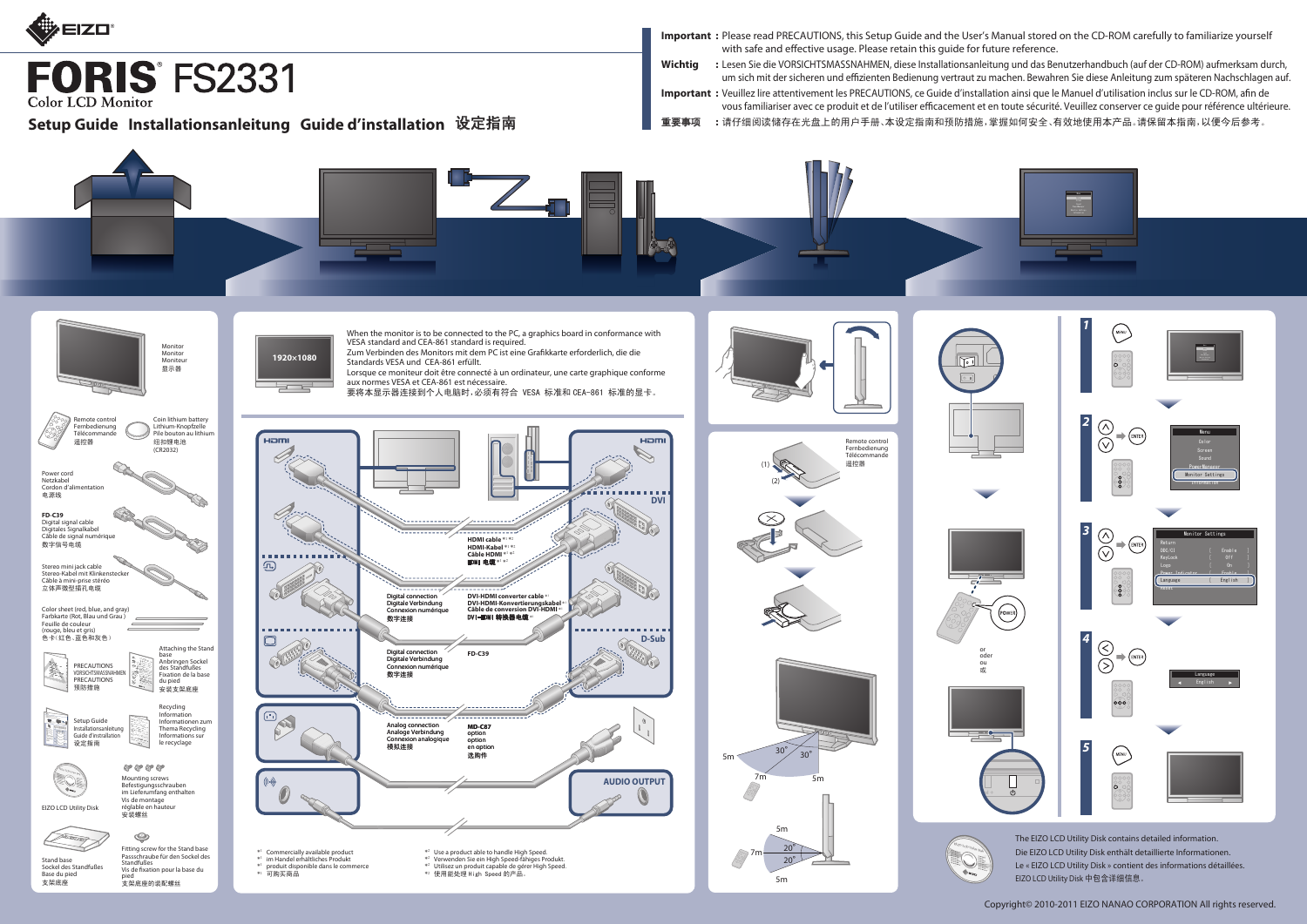

**FORIS FS2331 Color LCD Monitor** 

Copyright© 2010-2011 EIZO NANAO CORPORATION All rights reserved.

**Important :** Please read PRECAUTIONS, this Setup Guide and the User's Manual stored on the CD-ROM carefully to familiarize yourself with safe and effective usage. Please retain this guide for future reference. **Wichtig :** Lesen Sie die VORSICHTSMASSNAHMEN, diese Installationsanleitung und das Benutzerhandbuch (auf der CD-ROM) aufmerksam durch, um sich mit der sicheren und effizienten Bedienung vertraut zu machen. Bewahren Sie diese Anleitung zum späteren Nachschlagen auf. Important : Veuillez lire attentivement les PRECAUTIONS, ce Guide d'installation ainsi que le Manuel d'utilisation inclus sur le CD-ROM, afin de vous familiariser avec ce produit et de l'utiliser efficacement et en toute sécurité. Veuillez conserver ce quide pour référence ultérieure. Setup Guide Installationsanleitung Guide d'installation 设定指南 ■■重要事项 :请仔细阅读储存在光盘上的用户手册、本设定指南和预防措施,掌握如何安全、有效地使用本产品。请保留本指南,以便今后参考。